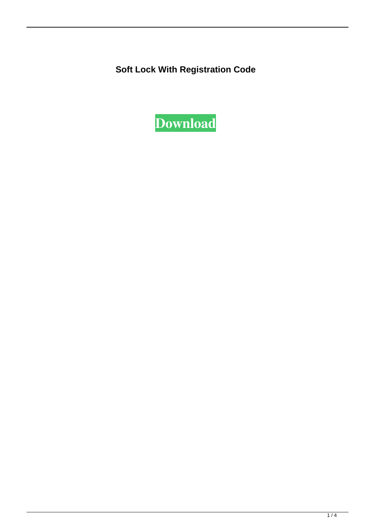**Soft Lock With Registration Code**

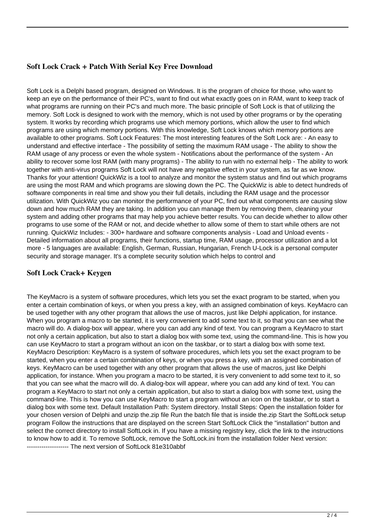# **Soft Lock Crack + Patch With Serial Key Free Download**

Soft Lock is a Delphi based program, designed on Windows. It is the program of choice for those, who want to keep an eye on the performance of their PC's, want to find out what exactly goes on in RAM, want to keep track of what programs are running on their PC's and much more. The basic principle of Soft Lock is that of utilizing the memory. Soft Lock is designed to work with the memory, which is not used by other programs or by the operating system. It works by recording which programs use which memory portions, which allow the user to find which programs are using which memory portions. With this knowledge, Soft Lock knows which memory portions are available to other programs. Soft Lock Features: The most interesting features of the Soft Lock are: - An easy to understand and effective interface - The possibility of setting the maximum RAM usage - The ability to show the RAM usage of any process or even the whole system - Notifications about the performance of the system - An ability to recover some lost RAM (with many programs) - The ability to run with no external help - The ability to work together with anti-virus programs Soft Lock will not have any negative effect in your system, as far as we know. Thanks for your attention! QuickWiz is a tool to analyze and monitor the system status and find out which programs are using the most RAM and which programs are slowing down the PC. The QuickWiz is able to detect hundreds of software components in real time and show you their full details, including the RAM usage and the processor utilization. With QuickWiz you can monitor the performance of your PC, find out what components are causing slow down and how much RAM they are taking. In addition you can manage them by removing them, cleaning your system and adding other programs that may help you achieve better results. You can decide whether to allow other programs to use some of the RAM or not, and decide whether to allow some of them to start while others are not running. QuickWiz Includes: - 300+ hardware and software components analysis - Load and Unload events - Detailed information about all programs, their functions, startup time, RAM usage, processor utilization and a lot more - 5 languages are available: English, German, Russian, Hungarian, French U-Lock is a personal computer security and storage manager. It's a complete security solution which helps to control and

### **Soft Lock Crack+ Keygen**

The KeyMacro is a system of software procedures, which lets you set the exact program to be started, when you enter a certain combination of keys, or when you press a key, with an assigned combination of keys. KeyMacro can be used together with any other program that allows the use of macros, just like Delphi application, for instance. When you program a macro to be started, it is very convenient to add some text to it, so that you can see what the macro will do. A dialog-box will appear, where you can add any kind of text. You can program a KeyMacro to start not only a certain application, but also to start a dialog box with some text, using the command-line. This is how you can use KeyMacro to start a program without an icon on the taskbar, or to start a dialog box with some text. KeyMacro Description: KeyMacro is a system of software procedures, which lets you set the exact program to be started, when you enter a certain combination of keys, or when you press a key, with an assigned combination of keys. KeyMacro can be used together with any other program that allows the use of macros, just like Delphi application, for instance. When you program a macro to be started, it is very convenient to add some text to it, so that you can see what the macro will do. A dialog-box will appear, where you can add any kind of text. You can program a KeyMacro to start not only a certain application, but also to start a dialog box with some text, using the command-line. This is how you can use KeyMacro to start a program without an icon on the taskbar, or to start a dialog box with some text. Default Installation Path: System directory. Install Steps: Open the installation folder for your chosen version of Delphi and unzip the.zip file Run the batch file that is inside the.zip Start the SoftLock setup program Follow the instructions that are displayed on the screen Start SoftLock Click the "installation" button and select the correct directory to install SoftLock in. If you have a missing registry key, click the link to the instructions to know how to add it. To remove SoftLock, remove the SoftLock.ini from the installation folder Next version: -------------------- The next version of SoftLock 81e310abbf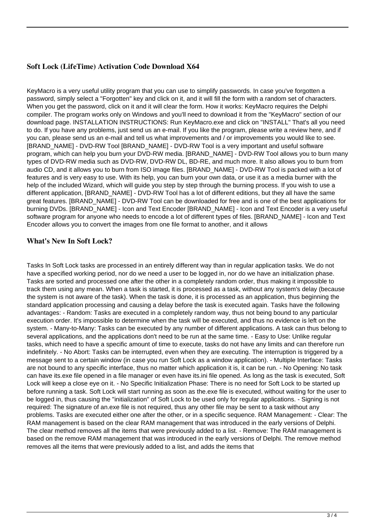# **Soft Lock (LifeTime) Activation Code Download X64**

KeyMacro is a very useful utility program that you can use to simplify passwords. In case you've forgotten a password, simply select a "Forgotten" key and click on it, and it will fill the form with a random set of characters. When you get the password, click on it and it will clear the form. How it works: KeyMacro requires the Delphi compiler. The program works only on Windows and you'll need to download it from the "KeyMacro" section of our download page. INSTALLATION INSTRUCTIONS: Run KeyMacro.exe and click on "INSTALL" That's all you need to do. If you have any problems, just send us an e-mail. If you like the program, please write a review here, and if you can, please send us an e-mail and tell us what improvements and / or improvements you would like to see. [BRAND\_NAME] - DVD-RW Tool [BRAND\_NAME] - DVD-RW Tool is a very important and useful software program, which can help you burn your DVD-RW media. [BRAND\_NAME] - DVD-RW Tool allows you to burn many types of DVD-RW media such as DVD-RW, DVD-RW DL, BD-RE, and much more. It also allows you to burn from audio CD, and it allows you to burn from ISO image files. [BRAND\_NAME] - DVD-RW Tool is packed with a lot of features and is very easy to use. With its help, you can burn your own data, or use it as a media burner with the help of the included Wizard, which will guide you step by step through the burning process. If you wish to use a different application, [BRAND\_NAME] - DVD-RW Tool has a lot of different editions, but they all have the same great features. [BRAND\_NAME] - DVD-RW Tool can be downloaded for free and is one of the best applications for burning DVDs. [BRAND\_NAME] - Icon and Text Encoder [BRAND\_NAME] - Icon and Text Encoder is a very useful software program for anyone who needs to encode a lot of different types of files. [BRAND\_NAME] - Icon and Text Encoder allows you to convert the images from one file format to another, and it allows

### **What's New In Soft Lock?**

Tasks In Soft Lock tasks are processed in an entirely different way than in regular application tasks. We do not have a specified working period, nor do we need a user to be logged in, nor do we have an initialization phase. Tasks are sorted and processed one after the other in a completely random order, thus making it impossible to track them using any mean. When a task is started, it is processed as a task, without any system's delay (because the system is not aware of the task). When the task is done, it is processed as an application, thus beginning the standard application processing and causing a delay before the task is executed again. Tasks have the following advantages: - Random: Tasks are executed in a completely random way, thus not being bound to any particular execution order. It's impossible to determine when the task will be executed, and thus no evidence is left on the system. - Many-to-Many: Tasks can be executed by any number of different applications. A task can thus belong to several applications, and the applications don't need to be run at the same time. - Easy to Use: Unlike regular tasks, which need to have a specific amount of time to execute, tasks do not have any limits and can therefore run indefinitely. - No Abort: Tasks can be interrupted, even when they are executing. The interruption is triggered by a message sent to a certain window (in case you run Soft Lock as a window application). - Multiple Interface: Tasks are not bound to any specific interface, thus no matter which application it is, it can be run. - No Opening: No task can have its.exe file opened in a file manager or even have its.ini file opened. As long as the task is executed, Soft Lock will keep a close eye on it. - No Specific Initialization Phase: There is no need for Soft Lock to be started up before running a task. Soft Lock will start running as soon as the.exe file is executed, without waiting for the user to be logged in, thus causing the "initialization" of Soft Lock to be used only for regular applications. - Signing is not required: The signature of an.exe file is not required, thus any other file may be sent to a task without any problems. Tasks are executed either one after the other, or in a specific sequence. RAM Management: - Clear: The RAM management is based on the clear RAM management that was introduced in the early versions of Delphi. The clear method removes all the items that were previously added to a list. - Remove: The RAM management is based on the remove RAM management that was introduced in the early versions of Delphi. The remove method removes all the items that were previously added to a list, and adds the items that